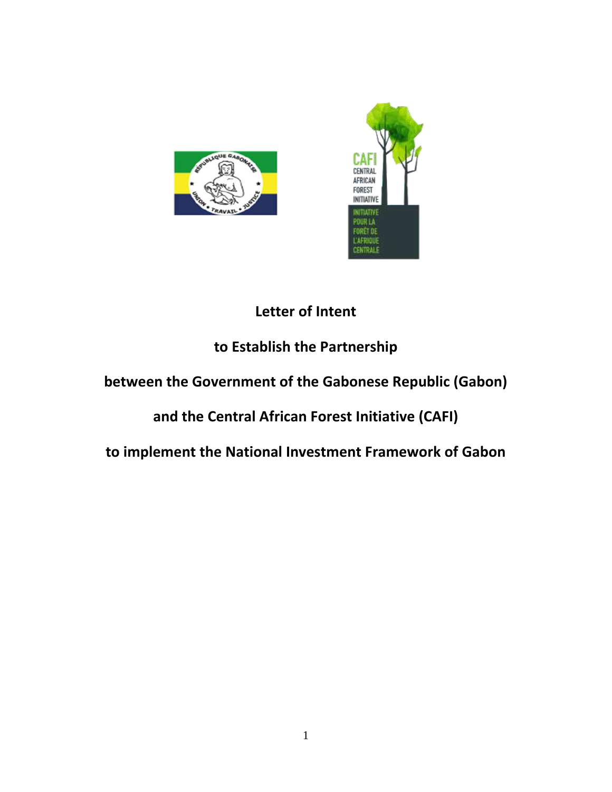



# **Letter of Intent**

# **to Establish the Partnership**

## **between the Government of the Gabonese Republic (Gabon)**

## **and the Central African Forest Initiative (CAFI)**

**to implement the National Investment Framework of Gabon**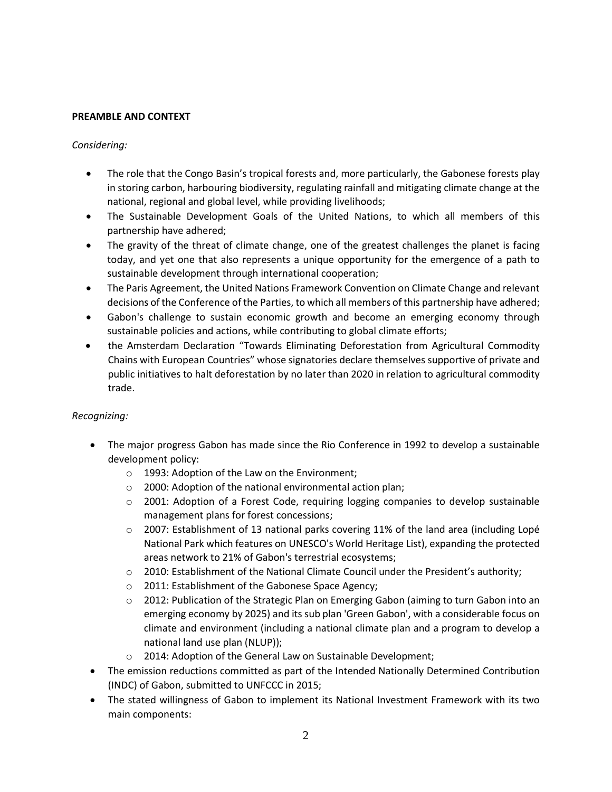#### **PREAMBLE AND CONTEXT**

#### *Considering:*

- The role that the Congo Basin's tropical forests and, more particularly, the Gabonese forests play in storing carbon, harbouring biodiversity, regulating rainfall and mitigating climate change at the national, regional and global level, while providing livelihoods;
- The Sustainable Development Goals of the United Nations, to which all members of this partnership have adhered;
- The gravity of the threat of climate change, one of the greatest challenges the planet is facing today, and yet one that also represents a unique opportunity for the emergence of a path to sustainable development through international cooperation;
- The Paris Agreement, the United Nations Framework Convention on Climate Change and relevant decisions of the Conference of the Parties, to which all members of this partnership have adhered;
- Gabon's challenge to sustain economic growth and become an emerging economy through sustainable policies and actions, while contributing to global climate efforts;
- the Amsterdam Declaration "Towards Eliminating Deforestation from Agricultural Commodity Chains with European Countries" whose signatories declare themselves supportive of private and public initiatives to halt deforestation by no later than 2020 in relation to agricultural commodity trade.

#### *Recognizing:*

- The major progress Gabon has made since the Rio Conference in 1992 to develop a sustainable development policy:
	- o 1993: Adoption of the Law on the Environment;
	- o 2000: Adoption of the national environmental action plan;
	- $\circ$  2001: Adoption of a Forest Code, requiring logging companies to develop sustainable management plans for forest concessions;
	- $\circ$  2007: Establishment of 13 national parks covering 11% of the land area (including Lopé National Park which features on UNESCO's World Heritage List), expanding the protected areas network to 21% of Gabon's terrestrial ecosystems;
	- $\circ$  2010: Establishment of the National Climate Council under the President's authority;
	- o 2011: Establishment of the Gabonese Space Agency;
	- $\circ$  2012: Publication of the Strategic Plan on Emerging Gabon (aiming to turn Gabon into an emerging economy by 2025) and its sub plan 'Green Gabon', with a considerable focus on climate and environment (including a national climate plan and a program to develop a national land use plan (NLUP));
	- o 2014: Adoption of the General Law on Sustainable Development;
- The emission reductions committed as part of the Intended Nationally Determined Contribution (INDC) of Gabon, submitted to UNFCCC in 2015;
- The stated willingness of Gabon to implement its National Investment Framework with its two main components: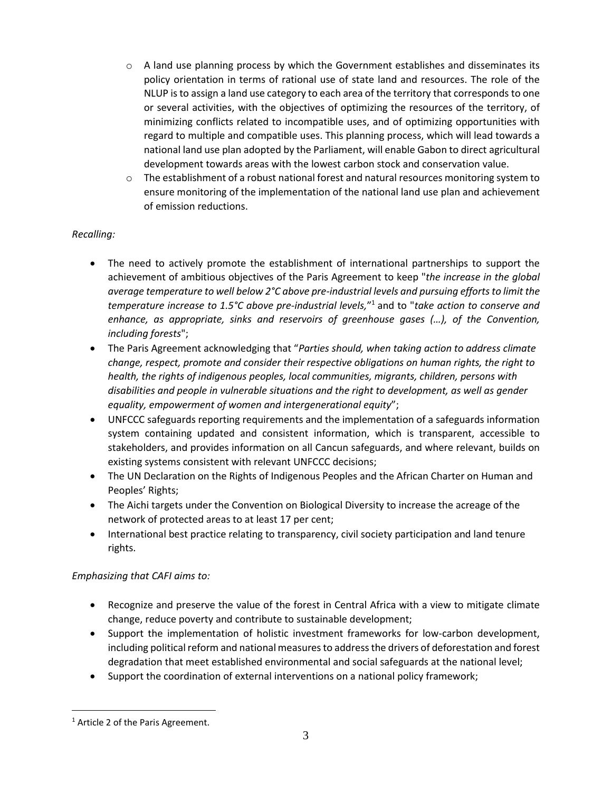- $\circ$  A land use planning process by which the Government establishes and disseminates its policy orientation in terms of rational use of state land and resources. The role of the NLUP isto assign a land use category to each area of the territory that corresponds to one or several activities, with the objectives of optimizing the resources of the territory, of minimizing conflicts related to incompatible uses, and of optimizing opportunities with regard to multiple and compatible uses. This planning process, which will lead towards a national land use plan adopted by the Parliament, will enable Gabon to direct agricultural development towards areas with the lowest carbon stock and conservation value.
- $\circ$  The establishment of a robust national forest and natural resources monitoring system to ensure monitoring of the implementation of the national land use plan and achievement of emission reductions.

## *Recalling:*

- The need to actively promote the establishment of international partnerships to support the achievement of ambitious objectives of the Paris Agreement to keep "*the increase in the global average temperature to well below 2°C above pre-industrial levels and pursuing effortsto limit the temperature increase to 1.5°C above pre-industrial levels,*" <sup>1</sup> and to "*take action to conserve and enhance, as appropriate, sinks and reservoirs of greenhouse gases (…), of the Convention, including forests*";
- The Paris Agreement acknowledging that "*Parties should, when taking action to address climate change, respect, promote and consider their respective obligations on human rights, the right to health, the rights of indigenous peoples, local communities, migrants, children, persons with disabilities and people in vulnerable situations and the right to development, as well as gender equality, empowerment of women and intergenerational equity*";
- UNFCCC safeguards reporting requirements and the implementation of a safeguards information system containing updated and consistent information, which is transparent, accessible to stakeholders, and provides information on all Cancun safeguards, and where relevant, builds on existing systems consistent with relevant UNFCCC decisions;
- The UN Declaration on the Rights of Indigenous Peoples and the African Charter on Human and Peoples' Rights;
- The Aichi targets under the Convention on Biological Diversity to increase the acreage of the network of protected areas to at least 17 per cent;
- International best practice relating to transparency, civil society participation and land tenure rights.

## *Emphasizing that CAFI aims to:*

- Recognize and preserve the value of the forest in Central Africa with a view to mitigate climate change, reduce poverty and contribute to sustainable development;
- Support the implementation of holistic investment frameworks for low-carbon development, including political reform and national measures to address the drivers of deforestation and forest degradation that meet established environmental and social safeguards at the national level;
- Support the coordination of external interventions on a national policy framework;

 $\overline{a}$ 

<sup>&</sup>lt;sup>1</sup> Article 2 of the Paris Agreement.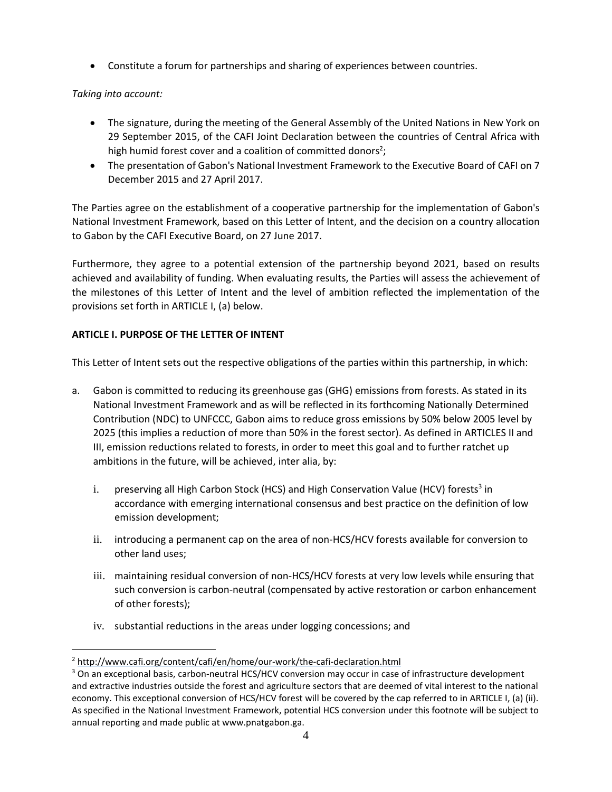• Constitute a forum for partnerships and sharing of experiences between countries.

*Taking into account:*

 $\overline{a}$ 

- The signature, during the meeting of the General Assembly of the United Nations in New York on 29 September 2015, of the CAFI Joint Declaration between the countries of Central Africa with high humid forest cover and a coalition of committed donors<sup>2</sup>;
- The presentation of Gabon's National Investment Framework to the Executive Board of CAFI on 7 December 2015 and 27 April 2017.

The Parties agree on the establishment of a cooperative partnership for the implementation of Gabon's National Investment Framework, based on this Letter of Intent, and the decision on a country allocation to Gabon by the CAFI Executive Board, on 27 June 2017.

Furthermore, they agree to a potential extension of the partnership beyond 2021, based on results achieved and availability of funding. When evaluating results, the Parties will assess the achievement of the milestones of this Letter of Intent and the level of ambition reflected the implementation of the provisions set forth in ARTICLE I, (a) below.

## **ARTICLE I. PURPOSE OF THE LETTER OF INTENT**

This Letter of Intent sets out the respective obligations of the parties within this partnership, in which:

- a. Gabon is committed to reducing its greenhouse gas (GHG) emissions from forests. As stated in its National Investment Framework and as will be reflected in its forthcoming Nationally Determined Contribution (NDC) to UNFCCC, Gabon aims to reduce gross emissions by 50% below 2005 level by 2025 (this implies a reduction of more than 50% in the forest sector). As defined in ARTICLES II and III, emission reductions related to forests, in order to meet this goal and to further ratchet up ambitions in the future, will be achieved, inter alia, by:
	- i. preserving all High Carbon Stock (HCS) and High Conservation Value (HCV) forests<sup>3</sup> in accordance with emerging international consensus and best practice on the definition of low emission development;
	- ii. introducing a permanent cap on the area of non-HCS/HCV forests available for conversion to other land uses;
	- iii. maintaining residual conversion of non-HCS/HCV forests at very low levels while ensuring that such conversion is carbon-neutral (compensated by active restoration or carbon enhancement of other forests);
	- iv. substantial reductions in the areas under logging concessions; and

<sup>2</sup> <http://www.cafi.org/content/cafi/en/home/our-work/the-cafi-declaration.html>

<sup>&</sup>lt;sup>3</sup> On an exceptional basis, carbon-neutral HCS/HCV conversion may occur in case of infrastructure development and extractive industries outside the forest and agriculture sectors that are deemed of vital interest to the national economy. This exceptional conversion of HCS/HCV forest will be covered by the cap referred to in ARTICLE I, (a) (ii). As specified in the National Investment Framework, potential HCS conversion under this footnote will be subject to annual reporting and made public at www.pnatgabon.ga.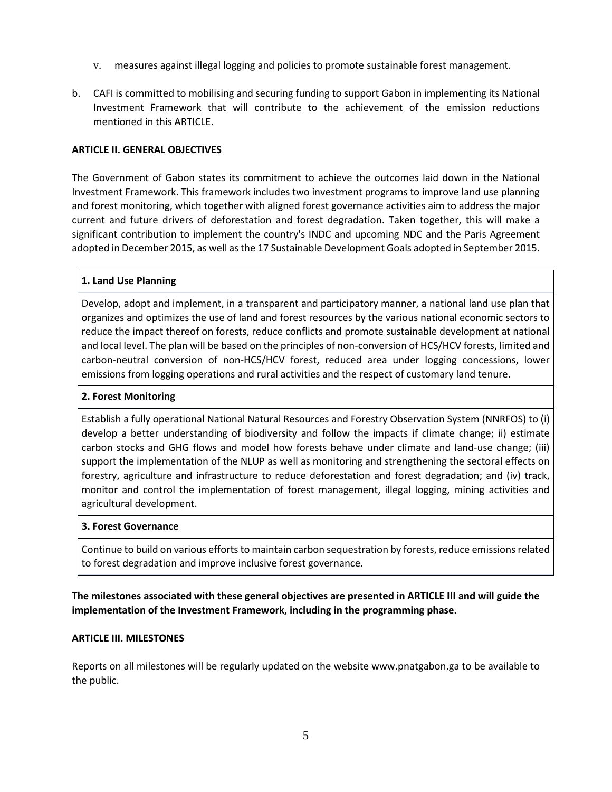- v. measures against illegal logging and policies to promote sustainable forest management.
- b. CAFI is committed to mobilising and securing funding to support Gabon in implementing its National Investment Framework that will contribute to the achievement of the emission reductions mentioned in this ARTICLE.

#### **ARTICLE II. GENERAL OBJECTIVES**

The Government of Gabon states its commitment to achieve the outcomes laid down in the National Investment Framework. This framework includes two investment programs to improve land use planning and forest monitoring, which together with aligned forest governance activities aim to address the major current and future drivers of deforestation and forest degradation. Taken together, this will make a significant contribution to implement the country's INDC and upcoming NDC and the Paris Agreement adopted in December 2015, as well asthe 17 Sustainable Development Goals adopted in September 2015.

## **1. Land Use Planning**

Develop, adopt and implement, in a transparent and participatory manner, a national land use plan that organizes and optimizes the use of land and forest resources by the various national economic sectors to reduce the impact thereof on forests, reduce conflicts and promote sustainable development at national and local level. The plan will be based on the principles of non-conversion of HCS/HCV forests, limited and carbon-neutral conversion of non-HCS/HCV forest, reduced area under logging concessions, lower emissions from logging operations and rural activities and the respect of customary land tenure.

## **2. Forest Monitoring**

Establish a fully operational National Natural Resources and Forestry Observation System (NNRFOS) to (i) develop a better understanding of biodiversity and follow the impacts if climate change; ii) estimate carbon stocks and GHG flows and model how forests behave under climate and land-use change; (iii) support the implementation of the NLUP as well as monitoring and strengthening the sectoral effects on forestry, agriculture and infrastructure to reduce deforestation and forest degradation; and (iv) track, monitor and control the implementation of forest management, illegal logging, mining activities and agricultural development.

#### **3. Forest Governance**

Continue to build on various efforts to maintain carbon sequestration by forests, reduce emissions related to forest degradation and improve inclusive forest governance.

**The milestones associated with these general objectives are presented in ARTICLE III and will guide the implementation of the Investment Framework, including in the programming phase.**

#### **ARTICLE III. MILESTONES**

Reports on all milestones will be regularly updated on the website www.pnatgabon.ga to be available to the public.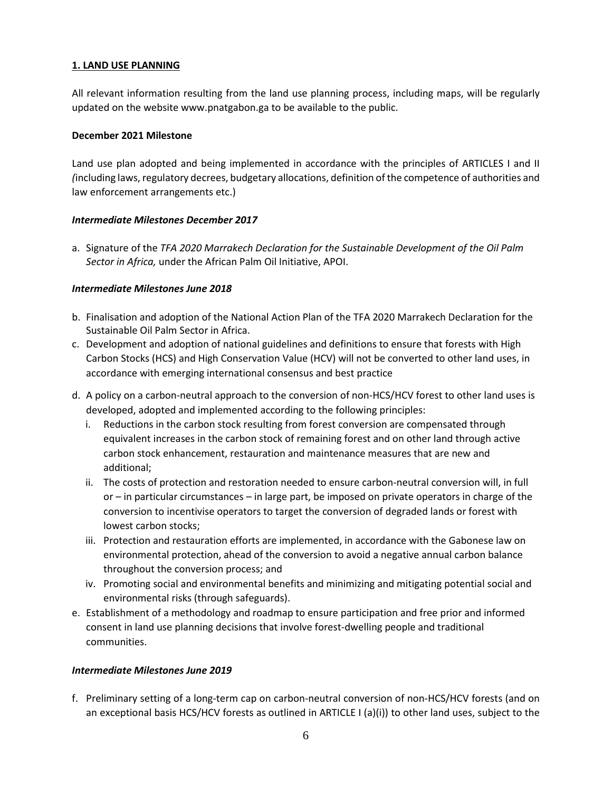#### **1. LAND USE PLANNING**

All relevant information resulting from the land use planning process, including maps, will be regularly updated on the website www.pnatgabon.ga to be available to the public.

#### **December 2021 Milestone**

Land use plan adopted and being implemented in accordance with the principles of ARTICLES I and II *(*including laws,regulatory decrees, budgetary allocations, definition of the competence of authorities and law enforcement arrangements etc.)

#### *Intermediate Milestones December 2017*

a. Signature of the *TFA 2020 Marrakech Declaration for the Sustainable Development of the Oil Palm Sector in Africa,* under the African Palm Oil Initiative, APOI.

#### *Intermediate Milestones June 2018*

- b. Finalisation and adoption of the National Action Plan of the TFA 2020 Marrakech Declaration for the Sustainable Oil Palm Sector in Africa.
- c. Development and adoption of national guidelines and definitions to ensure that forests with High Carbon Stocks (HCS) and High Conservation Value (HCV) will not be converted to other land uses, in accordance with emerging international consensus and best practice
- d. A policy on a carbon-neutral approach to the conversion of non-HCS/HCV forest to other land uses is developed, adopted and implemented according to the following principles:
	- i. Reductions in the carbon stock resulting from forest conversion are compensated through equivalent increases in the carbon stock of remaining forest and on other land through active carbon stock enhancement, restauration and maintenance measures that are new and additional;
	- ii. The costs of protection and restoration needed to ensure carbon-neutral conversion will, in full or – in particular circumstances – in large part, be imposed on private operators in charge of the conversion to incentivise operators to target the conversion of degraded lands or forest with lowest carbon stocks;
	- iii. Protection and restauration efforts are implemented, in accordance with the Gabonese law on environmental protection, ahead of the conversion to avoid a negative annual carbon balance throughout the conversion process; and
	- iv. Promoting social and environmental benefits and minimizing and mitigating potential social and environmental risks (through safeguards).
- e. Establishment of a methodology and roadmap to ensure participation and free prior and informed consent in land use planning decisions that involve forest-dwelling people and traditional communities.

#### *Intermediate Milestones June 2019*

f. Preliminary setting of a long-term cap on carbon-neutral conversion of non-HCS/HCV forests (and on an exceptional basis HCS/HCV forests as outlined in ARTICLE I (a)(i)) to other land uses, subject to the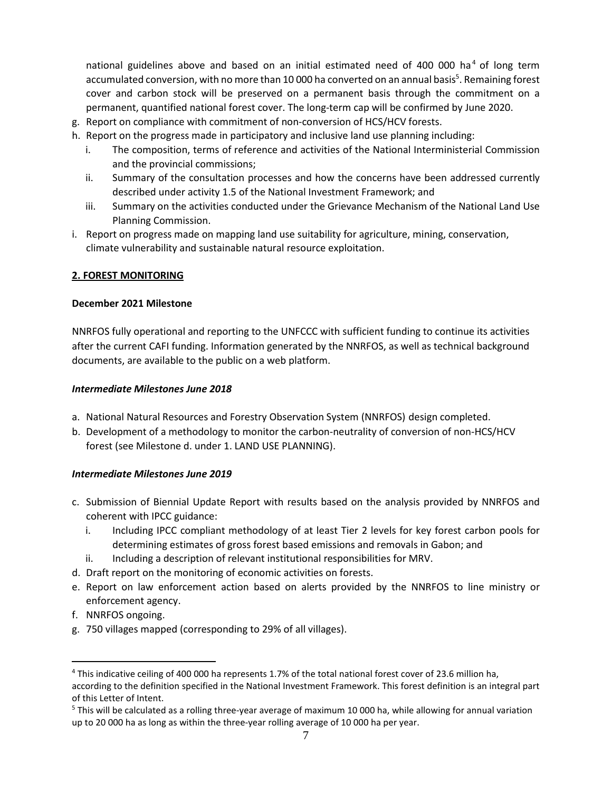national guidelines above and based on an initial estimated need of 400 000 ha<sup>4</sup> of long term accumulated conversion, with no more than 10 000 ha converted on an annual basis<sup>5</sup>. Remaining forest cover and carbon stock will be preserved on a permanent basis through the commitment on a permanent, quantified national forest cover. The long-term cap will be confirmed by June 2020.

- g. Report on compliance with commitment of non-conversion of HCS/HCV forests.
- h. Report on the progress made in participatory and inclusive land use planning including:
	- i. The composition, terms of reference and activities of the National Interministerial Commission and the provincial commissions;
	- ii. Summary of the consultation processes and how the concerns have been addressed currently described under activity 1.5 of the National Investment Framework; and
	- iii. Summary on the activities conducted under the Grievance Mechanism of the National Land Use Planning Commission.
- i. Report on progress made on mapping land use suitability for agriculture, mining, conservation, climate vulnerability and sustainable natural resource exploitation.

#### **2. FOREST MONITORING**

#### **December 2021 Milestone**

NNRFOS fully operational and reporting to the UNFCCC with sufficient funding to continue its activities after the current CAFI funding. Information generated by the NNRFOS, as well as technical background documents, are available to the public on a web platform.

#### *Intermediate Milestones June 2018*

- a. National Natural Resources and Forestry Observation System (NNRFOS) design completed.
- b. Development of a methodology to monitor the carbon-neutrality of conversion of non-HCS/HCV forest (see Milestone d. under 1. LAND USE PLANNING).

#### *Intermediate Milestones June 2019*

- c. Submission of Biennial Update Report with results based on the analysis provided by NNRFOS and coherent with IPCC guidance:
	- i. Including IPCC compliant methodology of at least Tier 2 levels for key forest carbon pools for determining estimates of gross forest based emissions and removals in Gabon; and
	- ii. Including a description of relevant institutional responsibilities for MRV.
- d. Draft report on the monitoring of economic activities on forests.
- e. Report on law enforcement action based on alerts provided by the NNRFOS to line ministry or enforcement agency.
- f. NNRFOS ongoing.

 $\overline{a}$ 

g. 750 villages mapped (corresponding to 29% of all villages).

<sup>4</sup> This indicative ceiling of 400 000 ha represents 1.7% of the total national forest cover of 23.6 million ha, according to the definition specified in the National Investment Framework. This forest definition is an integral part of this Letter of Intent.

<sup>&</sup>lt;sup>5</sup> This will be calculated as a rolling three-year average of maximum 10 000 ha, while allowing for annual variation up to 20 000 ha as long as within the three-year rolling average of 10 000 ha per year.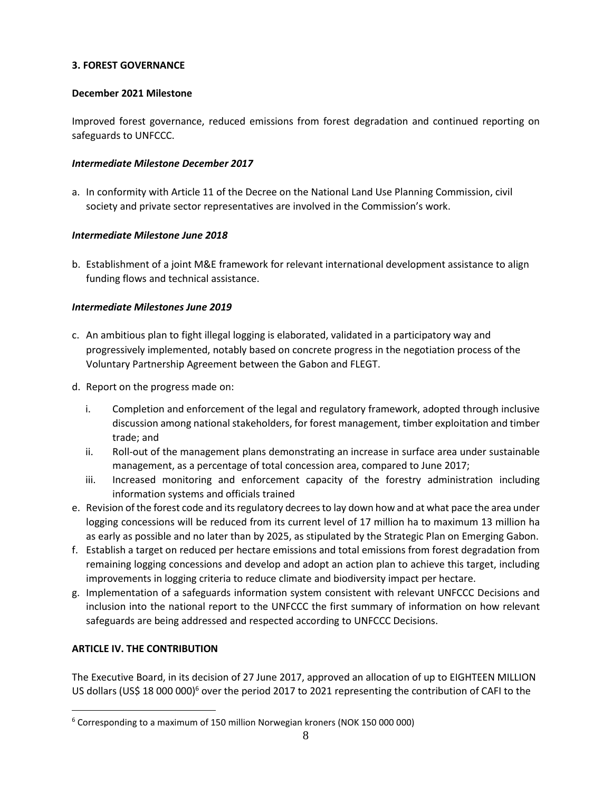## **3. FOREST GOVERNANCE**

## **December 2021 Milestone**

Improved forest governance, reduced emissions from forest degradation and continued reporting on safeguards to UNFCCC.

#### *Intermediate Milestone December 2017*

a. In conformity with Article 11 of the Decree on the National Land Use Planning Commission, civil society and private sector representatives are involved in the Commission's work.

#### *Intermediate Milestone June 2018*

b. Establishment of a joint M&E framework for relevant international development assistance to align funding flows and technical assistance.

## *Intermediate Milestones June 2019*

- c. An ambitious plan to fight illegal logging is elaborated, validated in a participatory way and progressively implemented, notably based on concrete progress in the negotiation process of the Voluntary Partnership Agreement between the Gabon and FLEGT.
- d. Report on the progress made on:
	- i. Completion and enforcement of the legal and regulatory framework, adopted through inclusive discussion among national stakeholders, for forest management, timber exploitation and timber trade; and
	- ii. Roll-out of the management plans demonstrating an increase in surface area under sustainable management, as a percentage of total concession area, compared to June 2017;
	- iii. Increased monitoring and enforcement capacity of the forestry administration including information systems and officials trained
- e. Revision of the forest code and itsregulatory decreesto lay down how and at what pace the area under logging concessions will be reduced from its current level of 17 million ha to maximum 13 million ha as early as possible and no later than by 2025, as stipulated by the Strategic Plan on Emerging Gabon.
- f. Establish a target on reduced per hectare emissions and total emissions from forest degradation from remaining logging concessions and develop and adopt an action plan to achieve this target, including improvements in logging criteria to reduce climate and biodiversity impact per hectare.
- g. Implementation of a safeguards information system consistent with relevant UNFCCC Decisions and inclusion into the national report to the UNFCCC the first summary of information on how relevant safeguards are being addressed and respected according to UNFCCC Decisions.

## **ARTICLE IV. THE CONTRIBUTION**

 $\overline{a}$ 

The Executive Board, in its decision of 27 June 2017, approved an allocation of up to EIGHTEEN MILLION US dollars (US\$ 18 000 000)<sup>6</sup> over the period 2017 to 2021 representing the contribution of CAFI to the

<sup>6</sup> Corresponding to a maximum of 150 million Norwegian kroners (NOK 150 000 000)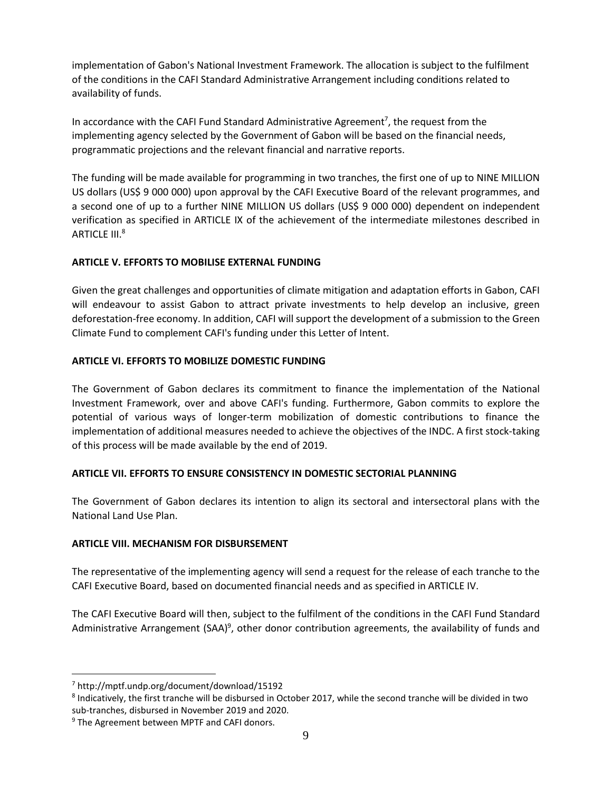implementation of Gabon's National Investment Framework. The allocation is subject to the fulfilment of the conditions in the CAFI Standard Administrative Arrangement including conditions related to availability of funds.

In accordance with the CAFI Fund Standard Administrative Agreement<sup>7</sup>, the request from the implementing agency selected by the Government of Gabon will be based on the financial needs, programmatic projections and the relevant financial and narrative reports.

The funding will be made available for programming in two tranches, the first one of up to NINE MILLION US dollars (US\$ 9 000 000) upon approval by the CAFI Executive Board of the relevant programmes, and a second one of up to a further NINE MILLION US dollars (US\$ 9 000 000) dependent on independent verification as specified in ARTICLE IX of the achievement of the intermediate milestones described in ARTICLE III. 8

## **ARTICLE V. EFFORTS TO MOBILISE EXTERNAL FUNDING**

Given the great challenges and opportunities of climate mitigation and adaptation efforts in Gabon, CAFI will endeavour to assist Gabon to attract private investments to help develop an inclusive, green deforestation-free economy. In addition, CAFI will support the development of a submission to the Green Climate Fund to complement CAFI's funding under this Letter of Intent.

## **ARTICLE VI. EFFORTS TO MOBILIZE DOMESTIC FUNDING**

The Government of Gabon declares its commitment to finance the implementation of the National Investment Framework, over and above CAFI's funding. Furthermore, Gabon commits to explore the potential of various ways of longer-term mobilization of domestic contributions to finance the implementation of additional measures needed to achieve the objectives of the INDC. A first stock-taking of this process will be made available by the end of 2019.

## **ARTICLE VII. EFFORTS TO ENSURE CONSISTENCY IN DOMESTIC SECTORIAL PLANNING**

The Government of Gabon declares its intention to align its sectoral and intersectoral plans with the National Land Use Plan.

#### **ARTICLE VIII. MECHANISM FOR DISBURSEMENT**

The representative of the implementing agency will send a request for the release of each tranche to the CAFI Executive Board, based on documented financial needs and as specified in ARTICLE IV.

The CAFI Executive Board will then, subject to the fulfilment of the conditions in the CAFI Fund Standard Administrative Arrangement (SAA)<sup>9</sup>, other donor contribution agreements, the availability of funds and

 $\overline{a}$ 

<sup>7</sup> <http://mptf.undp.org/document/download/15192>

<sup>8</sup> Indicatively, the first tranche will be disbursed in October 2017, while the second tranche will be divided in two sub-tranches, disbursed in November 2019 and 2020.

<sup>&</sup>lt;sup>9</sup> The Agreement between MPTF and CAFI donors.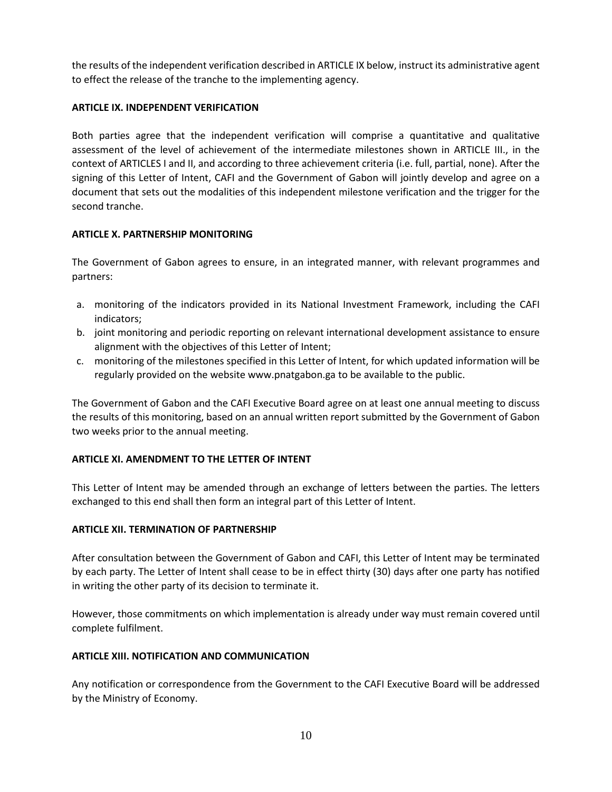the results of the independent verification described in ARTICLE IX below, instruct its administrative agent to effect the release of the tranche to the implementing agency.

## **ARTICLE IX. INDEPENDENT VERIFICATION**

Both parties agree that the independent verification will comprise a quantitative and qualitative assessment of the level of achievement of the intermediate milestones shown in ARTICLE III., in the context of ARTICLES I and II, and according to three achievement criteria (i.e. full, partial, none). After the signing of this Letter of Intent, CAFI and the Government of Gabon will jointly develop and agree on a document that sets out the modalities of this independent milestone verification and the trigger for the second tranche.

## **ARTICLE X. PARTNERSHIP MONITORING**

The Government of Gabon agrees to ensure, in an integrated manner, with relevant programmes and partners:

- a. monitoring of the indicators provided in its National Investment Framework, including the CAFI indicators;
- b. joint monitoring and periodic reporting on relevant international development assistance to ensure alignment with the objectives of this Letter of Intent;
- c. monitoring of the milestones specified in this Letter of Intent, for which updated information will be regularly provided on the website www.pnatgabon.ga to be available to the public.

The Government of Gabon and the CAFI Executive Board agree on at least one annual meeting to discuss the results of this monitoring, based on an annual written report submitted by the Government of Gabon two weeks prior to the annual meeting.

## **ARTICLE XI. AMENDMENT TO THE LETTER OF INTENT**

This Letter of Intent may be amended through an exchange of letters between the parties. The letters exchanged to this end shall then form an integral part of this Letter of Intent.

#### **ARTICLE XII. TERMINATION OF PARTNERSHIP**

After consultation between the Government of Gabon and CAFI, this Letter of Intent may be terminated by each party. The Letter of Intent shall cease to be in effect thirty (30) days after one party has notified in writing the other party of its decision to terminate it.

However, those commitments on which implementation is already under way must remain covered until complete fulfilment.

## **ARTICLE XIII. NOTIFICATION AND COMMUNICATION**

Any notification or correspondence from the Government to the CAFI Executive Board will be addressed by the Ministry of Economy.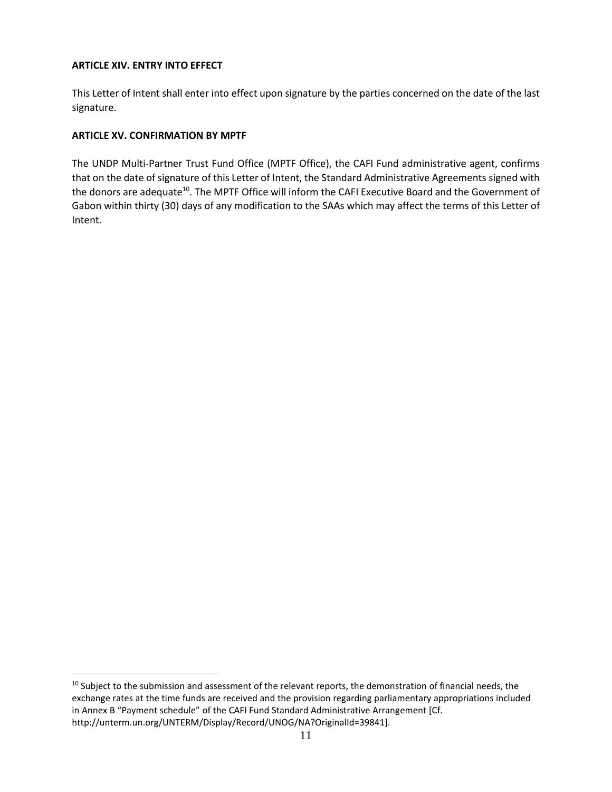#### **ARTICLE XIV. ENTRY INTO EFFECT**

This Letter of Intent shall enter into effect upon signature by the parties concerned on the date of the last signature.

## **ARTICLE XV. CONFIRMATION BY MPTF**

 $\overline{a}$ 

The UNDP Multi-Partner Trust Fund Office (MPTF Office), the CAFI Fund administrative agent, confirms that on the date of signature of this Letter of Intent, the Standard Administrative Agreements signed with the donors are adequate<sup>10</sup>. The MPTF Office will inform the CAFI Executive Board and the Government of Gabon within thirty (30) days of any modification to the SAAs which may affect the terms of this Letter of Intent.

<sup>&</sup>lt;sup>10</sup> Subject to the submission and assessment of the relevant reports, the demonstration of financial needs, the exchange rates at the time funds are received and the provision regarding parliamentary appropriations included in Annex B "Payment schedule" of the CAFI Fund Standard Administrative Arrangement [Cf. http://unterm.un.org/UNTERM/Display/Record/UNOG/NA?OriginalId=39841].